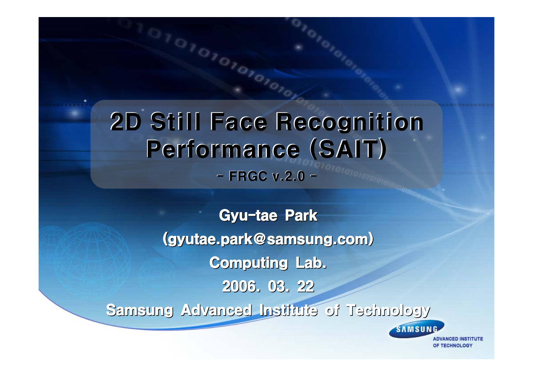2D Still Face Recognition 2D Still Face Recognition Performance (SAIT)  $-$  FRGC v.2.0  $-$ 

1101010101010101

**Gyu-tae Park** (gyutae.park@samsung.com) (gyutae.park@samsung.com) Computing Lab. 2006. 03. 22 Samsung Advanced Institute of Technology Samsung Advanced Institute of Technology

> **DVANCED INSTITUTE** OF TECHNOLOGY

SAMSUNG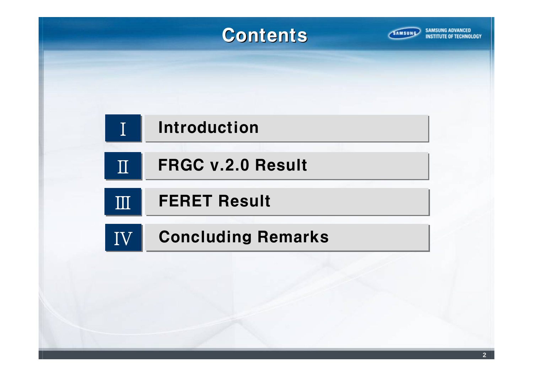### **Contents**



**INSTITUTE OF TECHNOLOGY** 

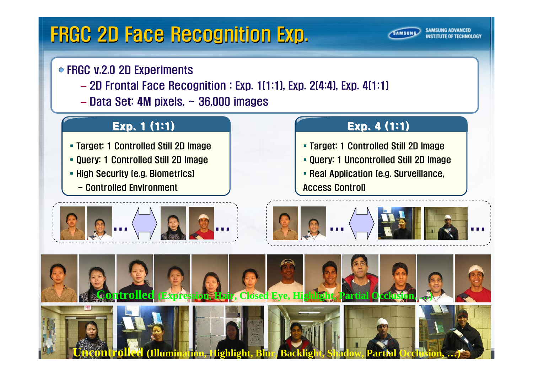# FRGC 2D Face Recognition Exp.

### ● FRGC v.2.0 2D Experiments

- 2D Frontal Face Recognition : Exp. 1(1:1), Exp. 2(4:4), Exp. 4(1:1)
- Data Set: 4M pixels, ~ 36,000 images

### Exp. 1 (1:1)

- Target: 1 Controlled Still 2D Image
- Query: 1 Controlled Still 2D Image
- **High Security (e.g. Biometrics)** 
	- Controlled Environment



### Exp.  $4(1:1)$

**AMSUNG** 

- Target: 1 Controlled Still 2D Image
- Query: 1 Uncontrolled Still 2D Image
- **Real Application (e.g. Surveillance,**

Access Control)



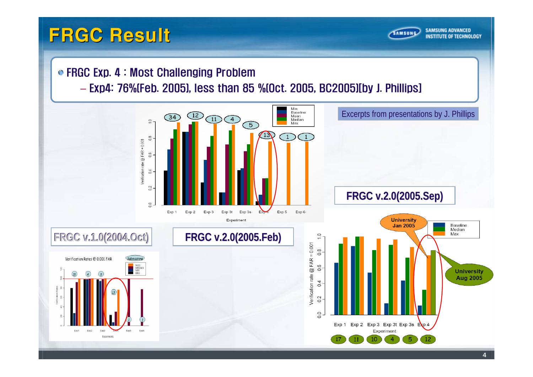### FRGC Result



#### FRGC Exp. 4 : Most Challenging Problem

#### – Exp4: 76%(Feb. 2005), less than 85 %(Oct. 2005, BC2005)[by J. Phillips]

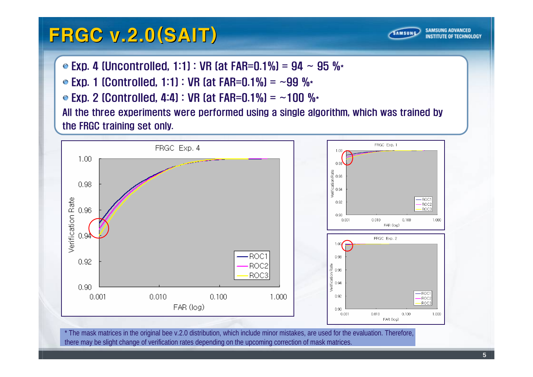## FRGC v.2.0(SAIT)



■ Exp. 4 (Uncontrolled, 1:1) : VR (at FAR=0.1%) = 94 ~ 95 %

 $\bullet$  Exp. 1 (Controlled, 1:1) : VR (at FAR=0.1%) = ~99 %\*

 $\bullet$  Exp. 2 (Controlled, 4:4) : VR (at FAR=0.1%) = ~100 %\* All the three experiments were performed using a single algorithm, which was trained by

the FRGC training set only.



\* The mask matrices in the original bee v.2.0 distribution, which include minor mistakes, are used for the evaluation. Therefore, there may be slight change of verification rates depending on the upcoming correction of mask matrices.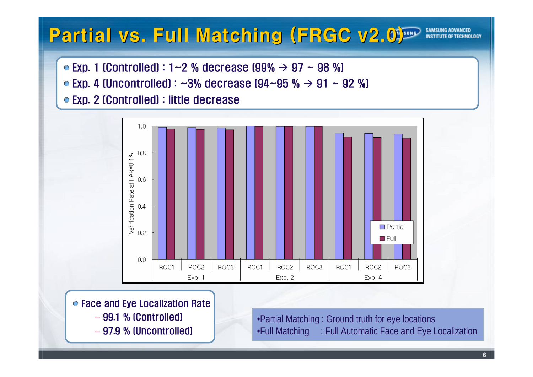#### Partial vs. Full Matching (FRGC v2.0) Partial **INSTITUTE O**

Exp. 1 (Controlled) : 1~2 % decrease (99%  $\rightarrow$  97 ~ 98 %)

Exp. 4 (Uncontrolled) :  ${\sim}3\%$  decrease (94 ${\sim}95$  %  ${\rightarrow}$  91  ${\sim}$  92 %)

Exp. 2 (Controlled) : little decrease



● Face and Eye Localization Rate

- 99.1 % (Controlled)
- 97.9 % (Uncontrolled)

•Partial Matching : Ground truth for eye locations •Full Matching : Full Automatic Face and Eye Localization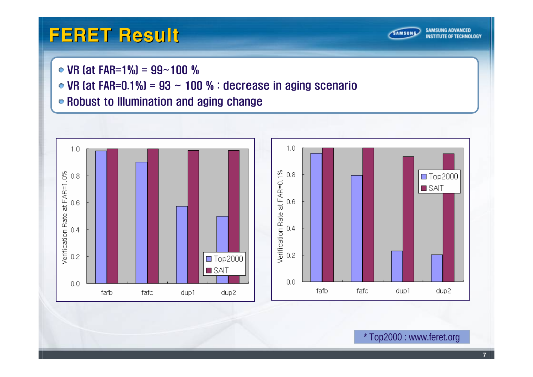## FERET Result



• VR (at FAR=1%) =  $99 - 100$  %

• VR (at FAR=0.1%) =  $93 \sim 100$  % : decrease in aging scenario

Robust to Illumination and aging change